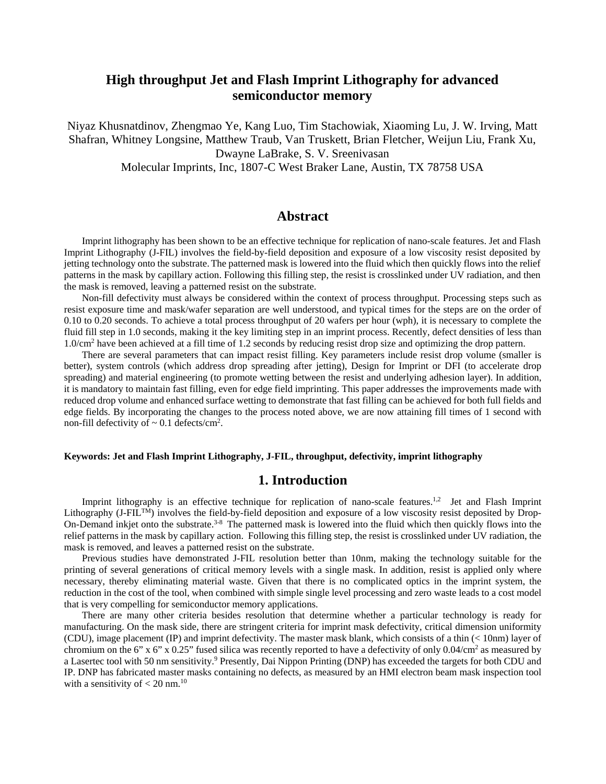# **High throughput Jet and Flash Imprint Lithography for advanced semiconductor memory**

Niyaz Khusnatdinov, Zhengmao Ye, Kang Luo, Tim Stachowiak, Xiaoming Lu, J. W. Irving, Matt Shafran, Whitney Longsine, Matthew Traub, Van Truskett, Brian Fletcher, Weijun Liu, Frank Xu, Dwayne LaBrake, S. V. Sreenivasan Molecular Imprints, Inc, 1807-C West Braker Lane, Austin, TX 78758 USA

### **Abstract**

Imprint lithography has been shown to be an effective technique for replication of nano-scale features. Jet and Flash Imprint Lithography (J-FIL) involves the field-by-field deposition and exposure of a low viscosity resist deposited by jetting technology onto the substrate.The patterned mask is lowered into the fluid which then quickly flows into the relief patterns in the mask by capillary action. Following this filling step, the resist is crosslinked under UV radiation, and then the mask is removed, leaving a patterned resist on the substrate.

Non-fill defectivity must always be considered within the context of process throughput. Processing steps such as resist exposure time and mask/wafer separation are well understood, and typical times for the steps are on the order of 0.10 to 0.20 seconds. To achieve a total process throughput of 20 wafers per hour (wph), it is necessary to complete the fluid fill step in 1.0 seconds, making it the key limiting step in an imprint process. Recently, defect densities of less than 1.0/cm2 have been achieved at a fill time of 1.2 seconds by reducing resist drop size and optimizing the drop pattern.

There are several parameters that can impact resist filling. Key parameters include resist drop volume (smaller is better), system controls (which address drop spreading after jetting), Design for Imprint or DFI (to accelerate drop spreading) and material engineering (to promote wetting between the resist and underlying adhesion layer). In addition, it is mandatory to maintain fast filling, even for edge field imprinting. This paper addresses the improvements made with reduced drop volume and enhanced surface wetting to demonstrate that fast filling can be achieved for both full fields and edge fields. By incorporating the changes to the process noted above, we are now attaining fill times of 1 second with non-fill defectivity of  $\sim 0.1$  defects/cm<sup>2</sup>.

#### **Keywords: Jet and Flash Imprint Lithography, J-FIL, throughput, defectivity, imprint lithography**

### **1. Introduction**

Imprint lithography is an effective technique for replication of nano-scale features.<sup>1,2</sup> Jet and Flash Imprint Lithography (J-FIL<sup>TM</sup>) involves the field-by-field deposition and exposure of a low viscosity resist deposited by Drop-On-Demand inkjet onto the substrate.<sup>3-8</sup> The patterned mask is lowered into the fluid which then quickly flows into the relief patterns in the mask by capillary action. Following this filling step, the resist is crosslinked under UV radiation, the mask is removed, and leaves a patterned resist on the substrate.

Previous studies have demonstrated J-FIL resolution better than 10nm, making the technology suitable for the printing of several generations of critical memory levels with a single mask. In addition, resist is applied only where necessary, thereby eliminating material waste. Given that there is no complicated optics in the imprint system, the reduction in the cost of the tool, when combined with simple single level processing and zero waste leads to a cost model that is very compelling for semiconductor memory applications.

There are many other criteria besides resolution that determine whether a particular technology is ready for manufacturing. On the mask side, there are stringent criteria for imprint mask defectivity, critical dimension uniformity (CDU), image placement (IP) and imprint defectivity. The master mask blank, which consists of a thin (< 10nm) layer of chromium on the 6" x 6" x 0.25" fused silica was recently reported to have a defectivity of only  $0.04/cm<sup>2</sup>$  as measured by a Lasertec tool with 50 nm sensitivity.<sup>9</sup> Presently, Dai Nippon Printing (DNP) has exceeded the targets for both CDU and IP. DNP has fabricated master masks containing no defects, as measured by an HMI electron beam mask inspection tool with a sensitivity of  $< 20$  nm.<sup>10</sup>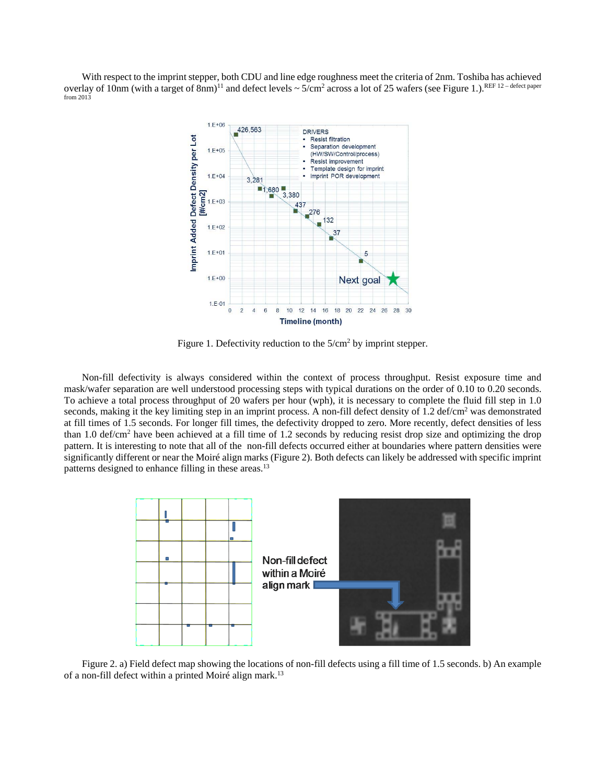With respect to the imprint stepper, both CDU and line edge roughness meet the criteria of 2nm. Toshiba has achieved overlay of 10nm (with a target of 8nm)<sup>11</sup> and defect levels  $\sim 5/\text{cm}^2$  across a lot of 25 wafers (see Figure 1.).<sup>REF 12</sup> – defect paper from 2013



Figure 1. Defectivity reduction to the  $5/cm<sup>2</sup>$  by imprint stepper.

Non-fill defectivity is always considered within the context of process throughput. Resist exposure time and mask/wafer separation are well understood processing steps with typical durations on the order of 0.10 to 0.20 seconds. To achieve a total process throughput of 20 wafers per hour (wph), it is necessary to complete the fluid fill step in 1.0 seconds, making it the key limiting step in an imprint process. A non-fill defect density of  $1.2 \text{ def/cm}^2$  was demonstrated at fill times of 1.5 seconds. For longer fill times, the defectivity dropped to zero. More recently, defect densities of less than 1.0 def/cm<sup>2</sup> have been achieved at a fill time of 1.2 seconds by reducing resist drop size and optimizing the drop pattern. It is interesting to note that all of the non-fill defects occurred either at boundaries where pattern densities were significantly different or near the Moiré align marks (Figure 2). Both defects can likely be addressed with specific imprint patterns designed to enhance filling in these areas.<sup>13</sup>



Figure 2. a) Field defect map showing the locations of non-fill defects using a fill time of 1.5 seconds. b) An example of a non-fill defect within a printed Moiré align mark.<sup>13</sup>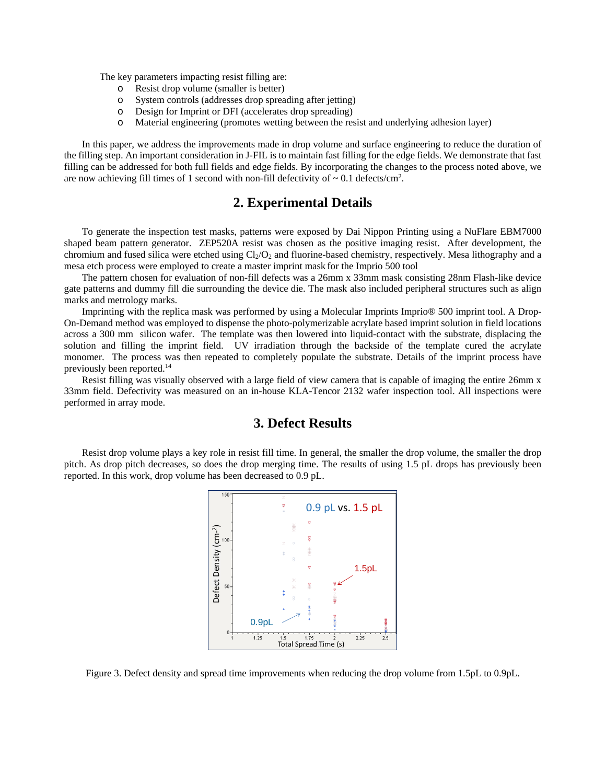The key parameters impacting resist filling are:

- o Resist drop volume (smaller is better)
- o System controls (addresses drop spreading after jetting)
- o Design for Imprint or DFI (accelerates drop spreading)
- o Material engineering (promotes wetting between the resist and underlying adhesion layer)

In this paper, we address the improvements made in drop volume and surface engineering to reduce the duration of the filling step. An important consideration in J-FIL is to maintain fast filling for the edge fields. We demonstrate that fast filling can be addressed for both full fields and edge fields. By incorporating the changes to the process noted above, we are now achieving fill times of 1 second with non-fill defectivity of  $\sim 0.1$  defects/cm<sup>2</sup>.

### **2. Experimental Details**

To generate the inspection test masks, patterns were exposed by Dai Nippon Printing using a NuFlare EBM7000 shaped beam pattern generator. ZEP520A resist was chosen as the positive imaging resist. After development, the chromium and fused silica were etched using  $Cl_2/O_2$  and fluorine-based chemistry, respectively. Mesa lithography and a mesa etch process were employed to create a master imprint mask for the Imprio 500 tool

The pattern chosen for evaluation of non-fill defects was a 26mm x 33mm mask consisting 28nm Flash-like device gate patterns and dummy fill die surrounding the device die. The mask also included peripheral structures such as align marks and metrology marks.

Imprinting with the replica mask was performed by using a Molecular Imprints Imprio® 500 imprint tool. A Drop-On-Demand method was employed to dispense the photo-polymerizable acrylate based imprint solution in field locations across a 300 mm silicon wafer. The template was then lowered into liquid-contact with the substrate, displacing the solution and filling the imprint field. UV irradiation through the backside of the template cured the acrylate monomer. The process was then repeated to completely populate the substrate. Details of the imprint process have previously been reported.14

Resist filling was visually observed with a large field of view camera that is capable of imaging the entire 26mm x 33mm field. Defectivity was measured on an in-house KLA-Tencor 2132 wafer inspection tool. All inspections were performed in array mode.

### **3. Defect Results**

 Resist drop volume plays a key role in resist fill time. In general, the smaller the drop volume, the smaller the drop pitch. As drop pitch decreases, so does the drop merging time. The results of using 1.5 pL drops has previously been reported. In this work, drop volume has been decreased to 0.9 pL.



Figure 3. Defect density and spread time improvements when reducing the drop volume from 1.5pL to 0.9pL.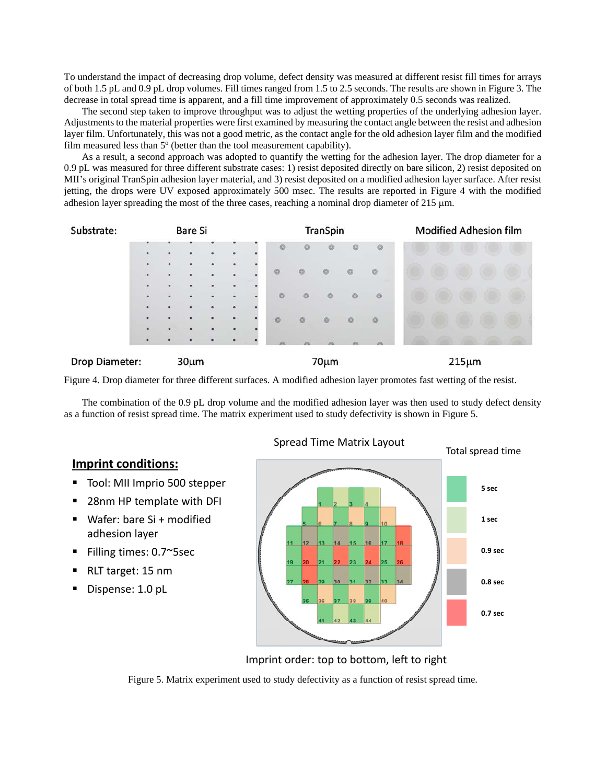To understand the impact of decreasing drop volume, defect density was measured at different resist fill times for arrays of both 1.5 pL and 0.9 pL drop volumes. Fill times ranged from 1.5 to 2.5 seconds. The results are shown in Figure 3. The decrease in total spread time is apparent, and a fill time improvement of approximately 0.5 seconds was realized.

 The second step taken to improve throughput was to adjust the wetting properties of the underlying adhesion layer. Adjustments to the material properties were first examined by measuring the contact angle between the resist and adhesion layer film. Unfortunately, this was not a good metric, as the contact angle for the old adhesion layer film and the modified film measured less than  $5^{\circ}$  (better than the tool measurement capability).

 As a result, a second approach was adopted to quantify the wetting for the adhesion layer. The drop diameter for a 0.9 pL was measured for three different substrate cases: 1) resist deposited directly on bare silicon, 2) resist deposited on MII's original TranSpin adhesion layer material, and 3) resist deposited on a modified adhesion layer surface. After resist jetting, the drops were UV exposed approximately 500 msec. The results are reported in Figure 4 with the modified adhesion layer spreading the most of the three cases, reaching a nominal drop diameter of  $215 \mu m$ .



Figure 4. Drop diameter for three different surfaces. A modified adhesion layer promotes fast wetting of the resist.

 The combination of the 0.9 pL drop volume and the modified adhesion layer was then used to study defect density as a function of resist spread time. The matrix experiment used to study defectivity is shown in Figure 5.

# **Imprint conditions:**

- Tool: MII Imprio 500 stepper
- 28nm HP template with DFI
- Wafer: bare Si + modified adhesion layer
- Filling times: 0.7~5sec
- RLT target: 15 nm
- Dispense: 1.0 pL



Imprint order: top to bottom, left to right

Figure 5. Matrix experiment used to study defectivity as a function of resist spread time.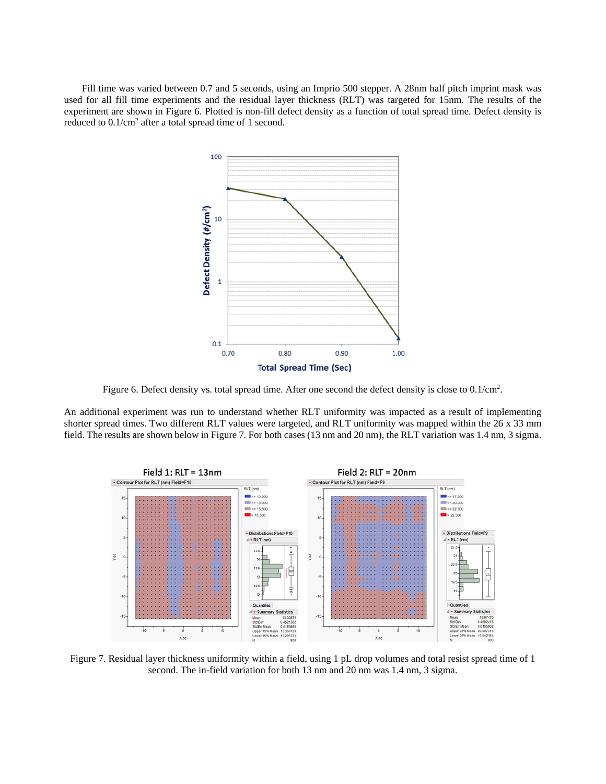Fill time was varied between 0.7 and 5 seconds, using an Imprio 500 stepper. A 28nm half pitch imprint mask was used for all fill time experiments and the residual layer thickness (RLT) was targeted for 15nm. The results of the experiment are shown in Figure 6. Plotted is non-fill defect density as a function of total spread time. Defect density is reduced to  $0.1/cm<sup>2</sup>$  after a total spread time of 1 second.



Figure 6. Defect density vs. total spread time. After one second the defect density is close to 0.1/cm<sup>2</sup>.

An additional experiment was run to understand whether RLT uniformity was impacted as a result of implementing shorter spread times. Two different RLT values were targeted, and RLT uniformity was mapped within the 26 x 33 mm field. The results are shown below in Figure 7. For both cases (13 nm and 20 nm), the RLT variation was 1.4 nm, 3 sigma.



Figure 7. Residual layer thickness uniformity within a field, using 1 pL drop volumes and total resist spread time of 1 second. The in-field variation for both 13 nm and 20 nm was 1.4 nm, 3 sigma.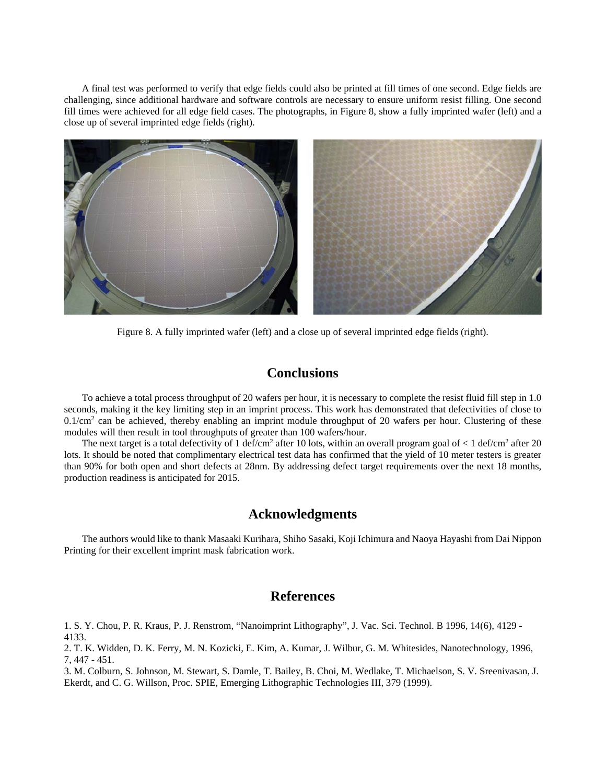A final test was performed to verify that edge fields could also be printed at fill times of one second. Edge fields are challenging, since additional hardware and software controls are necessary to ensure uniform resist filling. One second fill times were achieved for all edge field cases. The photographs, in Figure 8, show a fully imprinted wafer (left) and a close up of several imprinted edge fields (right).



Figure 8. A fully imprinted wafer (left) and a close up of several imprinted edge fields (right).

### **Conclusions**

 To achieve a total process throughput of 20 wafers per hour, it is necessary to complete the resist fluid fill step in 1.0 seconds, making it the key limiting step in an imprint process. This work has demonstrated that defectivities of close to  $0.1/cm<sup>2</sup>$  can be achieved, thereby enabling an imprint module throughput of 20 wafers per hour. Clustering of these modules will then result in tool throughputs of greater than 100 wafers/hour.

The next target is a total defectivity of 1 def/cm<sup>2</sup> after 10 lots, within an overall program goal of < 1 def/cm<sup>2</sup> after 20 lots. It should be noted that complimentary electrical test data has confirmed that the yield of 10 meter testers is greater than 90% for both open and short defects at 28nm. By addressing defect target requirements over the next 18 months, production readiness is anticipated for 2015.

#### **Acknowledgments**

The authors would like to thank Masaaki Kurihara, Shiho Sasaki, Koji Ichimura and Naoya Hayashi from Dai Nippon Printing for their excellent imprint mask fabrication work.

# **References**

1. S. Y. Chou, P. R. Kraus, P. J. Renstrom, "Nanoimprint Lithography", J. Vac. Sci. Technol. B 1996, 14(6), 4129 - 4133.

2. T. K. Widden, D. K. Ferry, M. N. Kozicki, E. Kim, A. Kumar, J. Wilbur, G. M. Whitesides, Nanotechnology, 1996, 7, 447 - 451.

3. M. Colburn, S. Johnson, M. Stewart, S. Damle, T. Bailey, B. Choi, M. Wedlake, T. Michaelson, S. V. Sreenivasan, J. Ekerdt, and C. G. Willson, Proc. SPIE, Emerging Lithographic Technologies III, 379 (1999).